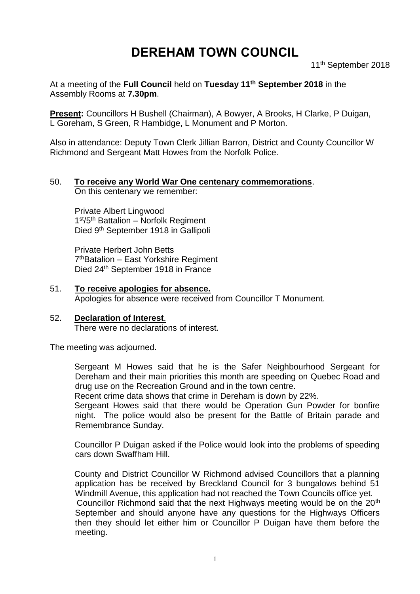# **DEREHAM TOWN COUNCIL**

11th September 2018

At a meeting of the **Full Council** held on **Tuesday 11th September 2018** in the Assembly Rooms at **7.30pm**.

**Present:** Councillors H Bushell (Chairman), A Bowyer, A Brooks, H Clarke, P Duigan, L Goreham, S Green, R Hambidge, L Monument and P Morton.

Also in attendance: Deputy Town Clerk Jillian Barron, District and County Councillor W Richmond and Sergeant Matt Howes from the Norfolk Police.

# 50. **To receive any World War One centenary commemorations**.

On this centenary we remember:

Private Albert Lingwood 1st/5<sup>th</sup> Battalion - Norfolk Regiment Died 9<sup>th</sup> September 1918 in Gallipoli

Private Herbert John Betts 7 thBatalion – East Yorkshire Regiment Died 24<sup>th</sup> September 1918 in France

- 51. **To receive apologies for absence.** Apologies for absence were received from Councillor T Monument.
- 52. **Declaration of Interest**. There were no declarations of interest.

The meeting was adjourned.

Sergeant M Howes said that he is the Safer Neighbourhood Sergeant for Dereham and their main priorities this month are speeding on Quebec Road and drug use on the Recreation Ground and in the town centre.

Recent crime data shows that crime in Dereham is down by 22%.

Sergeant Howes said that there would be Operation Gun Powder for bonfire night. The police would also be present for the Battle of Britain parade and Remembrance Sunday.

Councillor P Duigan asked if the Police would look into the problems of speeding cars down Swaffham Hill.

County and District Councillor W Richmond advised Councillors that a planning application has be received by Breckland Council for 3 bungalows behind 51 Windmill Avenue, this application had not reached the Town Councils office yet. Councillor Richmond said that the next Highways meeting would be on the 20<sup>th</sup> September and should anyone have any questions for the Highways Officers then they should let either him or Councillor P Duigan have them before the meeting.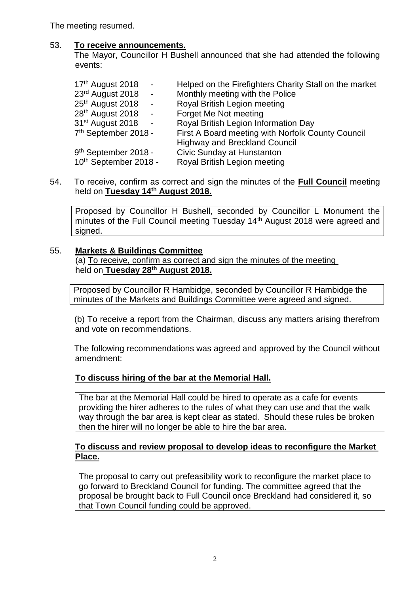The meeting resumed.

# 53. **To receive announcements.**

The Mayor, Councillor H Bushell announced that she had attended the following events:

| 17th August 2018<br>$\blacksquare$           | Helped on the Firefighters Charity Stall on the market |
|----------------------------------------------|--------------------------------------------------------|
| 23rd August 2018<br>$\sim$ $\sim$            | Monthly meeting with the Police                        |
| 25th August 2018<br>$\overline{\phantom{a}}$ | Royal British Legion meeting                           |
| 28 <sup>th</sup> August 2018<br>$\sim$ $-$   | Forget Me Not meeting                                  |
| 31 <sup>st</sup> August 2018<br>$\sim$       | Royal British Legion Information Day                   |
| 7 <sup>th</sup> September 2018 -             | First A Board meeting with Norfolk County Council      |
|                                              | <b>Highway and Breckland Council</b>                   |
| 9 <sup>th</sup> September 2018 -             | Civic Sunday at Hunstanton                             |
| 10th September 2018 -                        | Royal British Legion meeting                           |

### 54. To receive, confirm as correct and sign the minutes of the **Full Council** meeting held on **Tuesday 14th August 2018.**

Proposed by Councillor H Bushell, seconded by Councillor L Monument the minutes of the Full Council meeting Tuesday 14<sup>th</sup> August 2018 were agreed and signed.

# 55. **Markets & Buildings Committee**

(a) To receive, confirm as correct and sign the minutes of the meeting held on **Tuesday 28th August 2018.**

Proposed by Councillor R Hambidge, seconded by Councillor R Hambidge the minutes of the Markets and Buildings Committee were agreed and signed.

(b) To receive a report from the Chairman, discuss any matters arising therefrom and vote on recommendations.

The following recommendations was agreed and approved by the Council without amendment:

# **To discuss hiring of the bar at the Memorial Hall.**

The bar at the Memorial Hall could be hired to operate as a cafe for events providing the hirer adheres to the rules of what they can use and that the walk way through the bar area is kept clear as stated. Should these rules be broken then the hirer will no longer be able to hire the bar area.

# **To discuss and review proposal to develop ideas to reconfigure the Market Place.**

The proposal to carry out prefeasibility work to reconfigure the market place to go forward to Breckland Council for funding. The committee agreed that the proposal be brought back to Full Council once Breckland had considered it, so that Town Council funding could be approved.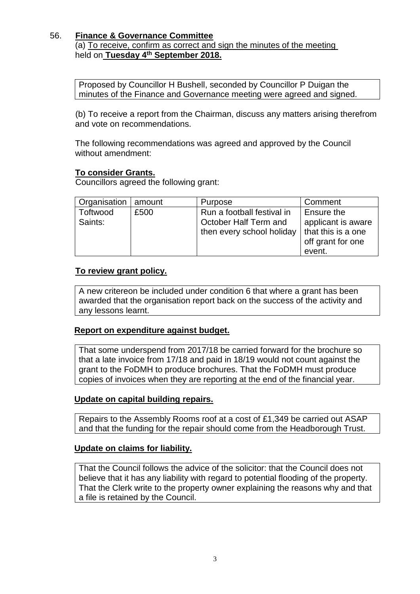# 56. **Finance & Governance Committee**

(a) To receive, confirm as correct and sign the minutes of the meeting held on **Tuesday 4 th September 2018.**

Proposed by Councillor H Bushell, seconded by Councillor P Duigan the minutes of the Finance and Governance meeting were agreed and signed.

(b) To receive a report from the Chairman, discuss any matters arising therefrom and vote on recommendations.

The following recommendations was agreed and approved by the Council without amendment:

## **To consider Grants.**

Councillors agreed the following grant:

| Organisation   amount |      | Purpose                    | Comment            |
|-----------------------|------|----------------------------|--------------------|
| Toftwood              | £500 | Run a football festival in | <b>Ensure the</b>  |
| Saints:               |      | October Half Term and      | applicant is aware |
|                       |      | then every school holiday  | that this is a one |
|                       |      |                            | off grant for one  |
|                       |      |                            | event.             |

# **To review grant policy.**

A new critereon be included under condition 6 that where a grant has been awarded that the organisation report back on the success of the activity and any lessons learnt.

## **Report on expenditure against budget.**

That some underspend from 2017/18 be carried forward for the brochure so that a late invoice from 17/18 and paid in 18/19 would not count against the grant to the FoDMH to produce brochures. That the FoDMH must produce copies of invoices when they are reporting at the end of the financial year.

## **Update on capital building repairs.**

Repairs to the Assembly Rooms roof at a cost of £1,349 be carried out ASAP and that the funding for the repair should come from the Headborough Trust.

## **Update on claims for liability.**

That the Council follows the advice of the solicitor: that the Council does not believe that it has any liability with regard to potential flooding of the property. That the Clerk write to the property owner explaining the reasons why and that a file is retained by the Council.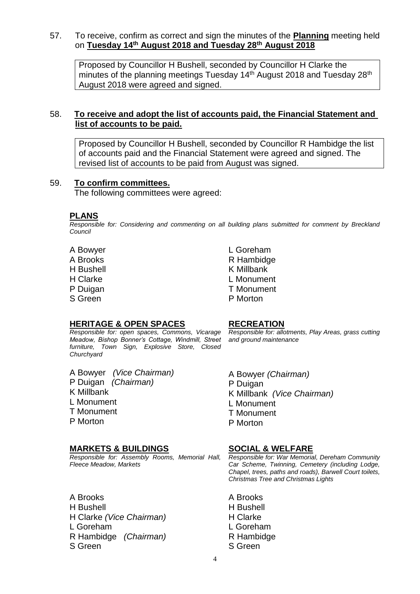#### 57. To receive, confirm as correct and sign the minutes of the **Planning** meeting held on **Tuesday 14th August 2018 and Tuesday 28th August 2018**

Proposed by Councillor H Bushell, seconded by Councillor H Clarke the minutes of the planning meetings Tuesday 14<sup>th</sup> August 2018 and Tuesday 28<sup>th</sup> August 2018 were agreed and signed.

# 58. **To receive and adopt the list of accounts paid, the Financial Statement and list of accounts to be paid.**

Proposed by Councillor H Bushell, seconded by Councillor R Hambidge the list of accounts paid and the Financial Statement were agreed and signed. The revised list of accounts to be paid from August was signed.

# 59. **To confirm committees.**

The following committees were agreed:

#### **PLANS**

*Responsible for: Considering and commenting on all building plans submitted for comment by Breckland Council*

- A Bowyer A Brooks H Bushell H Clarke P Duigan
- S Green

L Goreham R Hambidge K Millbank L Monument T Monument P Morton

## **HERITAGE & OPEN SPACES**

*Responsible for: open spaces, Commons, Vicarage Meadow, Bishop Bonner's Cottage, Windmill, Street furniture, Town Sign, Explosive Store, Closed Churchyard*

A Bowyer *(Vice Chairman)* P Duigan *(Chairman)* K Millbank L Monument T Monument P Morton

# **MARKETS & BUILDINGS**

*Responsible for: Assembly Rooms, Memorial Hall, Fleece Meadow, Markets*

#### **RECREATION**

*Responsible for: allotments, Play Areas, grass cutting and ground maintenance*

A Bowyer *(Chairman)* P Duigan K Millbank *(Vice Chairman)* L Monument T Monument P Morton

## **SOCIAL & WELFARE**

*Responsible for: War Memorial, Dereham Community Car Scheme, Twinning, Cemetery (including Lodge, Chapel, trees, paths and roads), Barwell Court toilets, Christmas Tree and Christmas Lights*

A Brooks H Bushell H Clarke L Goreham R Hambidge S Green